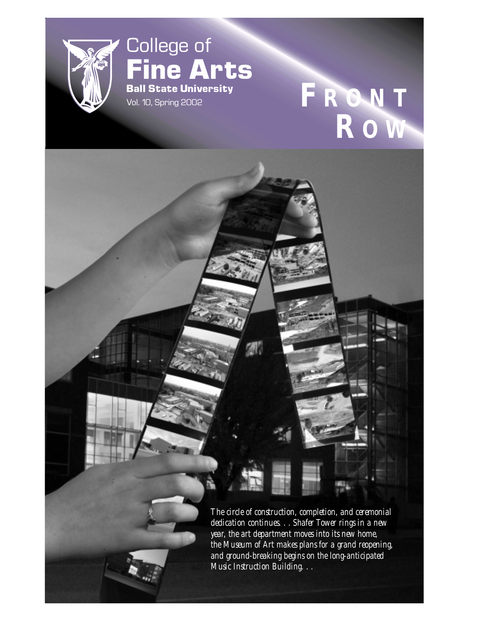

## College of **Fine Arts Ball State University**

# **Ball State University**<br>Vol. 10, Spring 2002 **F R O N T R O W**

*The circle of construction, completion, and ceremonial dedication continues. . . Shafer Tower rings in a new year, the art department moves into its new home, the Museum of Art makes plans for a grand reopening, and ground-breaking begins on the long-anticipated Music Instruction Building. . .*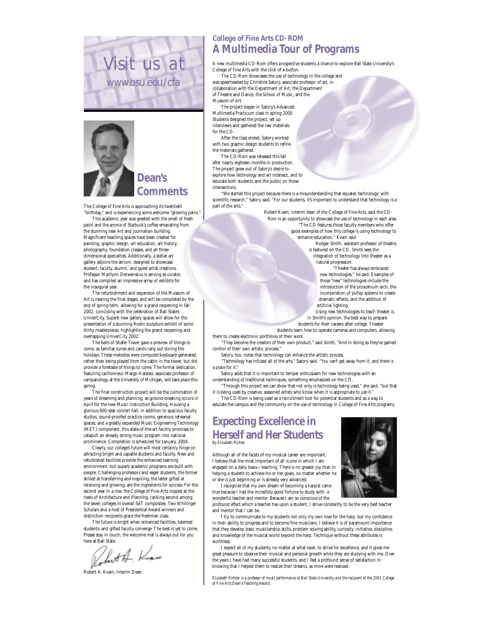



The College of Fine Arts is approaching its twentieth "birthday," and is experiencing some welcome "growing pains."

This academic year was greeted with the smell of fresh paint and the aroma of Starbuck's coffee emanating from the stunning new Art and Journalism building. Magnificent teaching spaces have been created for painting, graphic design, art education, art history, photography, foundation classes, and all threedimensional specialties. Additionally, a stellar art gallery adjoins the atrium, designed to showcase student, faculty, alumni, and guest artist creations. Professor Marilynn Derwenskus is serving as curator, and has compiled an impressive array of exhibits for the inaugural year.

The refurbishment and expansion of the Museum of Art is nearing the final stages, and will be completed by the end of spring term, allowing for a grand reopening in fall 2002, coinciding with the celebration of Ball State's UniverCity. Superb new gallery spaces will allow for the presentation of a stunning Rodin sculpture exhibit of some thirty masterpieces, highlighting the grand reopening and overlapping UniverCity 2002.

The bells of Shafer Tower gave a preview of things to come, as familiar tunes and carols rang out during the holidays. These melodies were computer/keyboard generated, rather than being played from the cabin in the tower, but did provide a foretaste of things to come. The formal dedication, featuring carillonneur Margo Halsted, associate professor of campanology at the University of Michigan, will take place this spring.

The final construction project will be the culmination of years of dreaming and planning, as ground-breaking occurs in April for the new Music Instruction Building. Housing a glorious 600-seat concert hall, in addition to spacious faculty studios, sound-proofed practice rooms, generous rehearsal spaces, and a greatly expanded Music Engineering Technology (MET) component, this state-of-the-art facility promises to catapult an already strong music program into national prominence. Completion is scheduled for January, 2004.

Clearly, our college's future will most certainly hinge on attracting bright and capable students and faculty. New and refurbished facilities provide the enhanced learning environment, but superb academic programs are built with people. Challenging professors and eager students, the former skilled at transferring and inspiring, the latter gifted at receiving and growing, are the ingredients for success. For the second year in a row, the College of Fine Arts nipped at the heels of Architecture and Planning, ranking second among the seven colleges in overall SAT composites. Two Whitinger Scholars and a host of Presidential Award winners and distinction recipients grace the freshman class.

The future is bright when enhanced facilities, talented students, and gifted faculty converge. The best is yet to come. Please stay in touch; the welcome mat is always out for you

here at Ball State.<br>Volkest A. Known

Robert A. Kvam, Interim Dean

#### **College of Fine Arts CD-ROM A Multimedia Tour of Programs**

A new multimedia CD-Rom offers prospective students a chance to explore Ball State University's College of Fine Arts with the click of a button.

The CD-Rom showcases the use of technology in the college and was spearheaded by Christine Satory, associate professor of art, in collaboration with the Department of Art, the Department of Theatre and Dance, the School of Music, and the Museum of Art.

The project began in Satory's Advanced Multimedia Practicum class in spring 2000. Students designed the project, set up interviews and gathered the raw materials for the CD.

After the class ended, Satory worked with two graphic design students to refine the materials gathered.

The CD-Rom was released this fall after nearly eighteen months in production. The project grew out of Satory's desire to explore how technology and art intersect, and to educate both students and the public on those intersections.

"We started this project because there is a misunderstanding that equates 'technology' with scientific research," Satory said. "For our students, it's important to understand that technology is a part of the arts."

Robert Kvam, interim dean of the College of Fine Arts, said the CD-Rom is an opportunity to showcase the use of technology in each area. "The CD features those faculty members who offer good examples of how this college is using technology to enhance education," Kvam said.

Rodger Smith, assistant professor of theatre, is featured on the CD. Smith sees the integration of technology into theater as a

natural progression.

"Theater has always embraced new technologies," he said. Examples of those "new" technologies include the introduction of the proscenium arch, the incorporation of pulley systems to create dramatic effects, and the addition of artificial lighting.

Using new technologies to teach theater is, in Smith's opinion, the best way to prepare students for their careers after college. Theater

students learn how to operate cameras and computers, allowing

them to create electronic portfolios of their work.

"They become the creators of their own product," said Smith, "And in doing so they've gained control of their own artistic process."

Satory, too, notes that technology can enhance the artistic process.

"Technology has infused all of the arts," Satory said. "You can't get away from it, and there is a place for it."

Satory adds that it is important to temper enthusiasm for new technologies with an understanding of traditional techniques, something emphasized on the CD.

"Through this project we can show that not only is technology being used," she said, "but that it is being used by creative, seasoned artists who know when it is appropriate to use it.' The CD-Rom is being used as a recruitment tool for potential students and as a way to

educate the campus and the community on the use of technology in College of Fine Arts programs.

#### **Expecting Excellence in Herself and Her Students** *By Elizabeth Richter*

Although all of the facets of my musical career are important, I believe that the most important of all is one in which I am engaged on a daily basis—teaching. There is no greater joy than in helping a student to achieve his or her goals, no matter whether he or she is just beginning or is already very advanced.

I recognize that my own dream of becoming a harpist came true because I had the incredibly good fortune to study with a wonderful teacher and mentor. Because I am so conscious of the

profound effect which a teacher has upon a student, I strive constantly to be the very best teacher and mentor that I can be.

I try to communicate to my students not only my own love for the harp, but my confidence in their ability to progress and to become fine musicians. I believe it is of paramount importance that they develop basic musicianship skills, problem solving ability, curiosity, initiative, discipline, and knowledge of the musical world beyond the harp. Technique without these attributes is worthless.

I expect all of my students, no matter at what level, to strive for excellence, and it gives me great pleasure to observe their musical and personal growth while they are studying with me. Over the years I have had many successful students, and I feel a profound sense of satisfaction in knowing that I helped them to realize their dreams, as mine were realized.

*Elizabeth Richter is a professor of music performance at Ball State University and the recipient of the 2001 College of Fine Arts Dean's Teaching Award.*

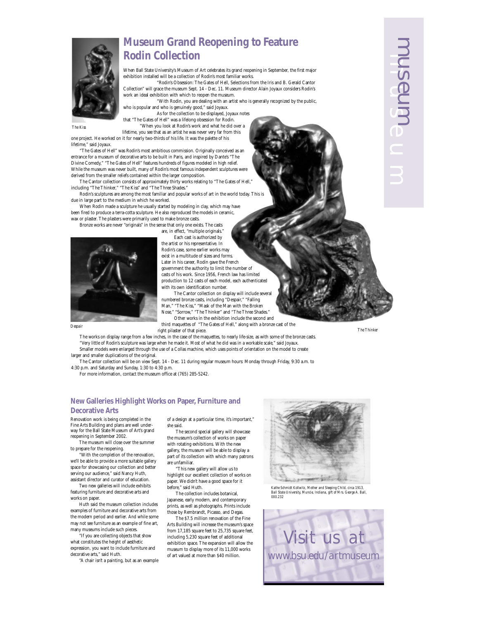### **Museum Grand Reopening to Feature Rodin Collection**

When Ball State University's Museum of Art celebrates its grand reopening in September, the first major exhibition installed will be a collection of Rodin's most familiar works.

"Rodin's Obsession: The Gates of Hell, Selections from the Iris and B. Gerald Cantor Collection" will grace the museum Sept. 14 - Dec. 11. Museum director Alain Joyaux considers Rodin's work an ideal exhibition with which to reopen the museum.

"With Rodin, you are dealing with an artist who is generally recognized by the public, who is popular and who is genuinely good," said Joyaux.

As for the collection to be displayed, Joyaux notes that "The Gates of Hell" was a lifelong obsession for Rodin.

*The Kiss*

"When you look at Rodin's work and what he did over a lifetime, you see that as an artist he was never very far from this one project. He worked on it for nearly two-thirds of his life. It was the palette of his

lifetime," said Joyaux. "The Gates of Hell" was Rodin's most ambitious commission. Originally conceived as an entrance for a museum of decorative arts to be built in Paris, and inspired by Dante's "The Divine Comedy," "The Gates of Hell" features hundreds of figures modeled in high relief.

While the museum was never built, many of Rodin's most famous independent sculptures were derived from the smaller reliefs contained within the larger composition. The Cantor collection consists of approximately thirty works relating to "The Gates of Hell,"

including "The Thinker," "The Kiss" and "The Three Shades." Rodin's sculptures are among the most familiar and popular works of art in the world today. This is

due in large part to the medium in which he worked.

When Rodin made a sculpture he usually started by modeling in clay, which may have been fired to produce a terra-cotta sculpture. He also reproduced the models in ceramic, wax or plaster. The plasters were primarily used to make bronze casts.

Bronze works are never "originals" in the sense that only one exists. The casts

are, in effect, "multiple originals." Each cast is authorized by the artist or his representative. In Rodin's case, some earlier works may

exist in a multitude of sizes and forms. Later in his career, Rodin gave the French government the authority to limit the number of casts of his work. Since 1956, French law has limited production to 12 casts of each model, each authenticated

with its own identification number.



Man," "The Kiss," "Mask of the Man with the Broken Nose," "Sorrow," "The Thinker" and "The Three Shades." Other works in the exhibition include the second and third maquettes of "The Gates of Hell," along with a bronze cast of the right pilaster of that piece. *Despair The Thinker*

The Cantor collection on display will include several numbered bronze casts, including "Despair," "Falling

The works on display range from a few inches, in the case of the maquettes, to nearly life-size, as with some of the bronze casts. "Very little of Rodin's sculpture was large when he made it. Most of what he did was in a workable scale," said Joyaux.

Smaller models were enlarged through the use of a Collas machine, which uses points of orientation on the model to create larger and smaller duplications of the original.

The Cantor collection will be on view Sept. 14 - Dec. 11 during regular museum hours: Monday through Friday, 9:30 a.m. to 4:30 p.m. and Saturday and Sunday, 1:30 to 4:30 p.m.

For more information, contact the museum office at (765) 285-5242.

#### **New Galleries Highlight Works on Paper, Furniture and Decorative Arts**

Renovation work is being completed in the Fine Arts Building and plans are well underway for the Ball State Museum of Art's grand reopening in September 2002.

The museum will close over the summer to prepare for the reopening.

"With the completion of the renovation, we'll be able to provide a more suitable gallery space for showcasing our collection and better serving our audience," said Nancy Huth, assistant director and curator of education.

Two new galleries will include exhibits featuring furniture and decorative arts and works on paper.

Huth said the museum collection includes examples of furniture and decorative arts from the modern period and earlier. And while some may not see furniture as an example of fine art many museums include such pieces.

"If you are collecting objects that show what constitutes the height of aesthetic expression, you want to include furniture and decorative arts," said Huth.

"A chair isn't a painting, but as an example

of a design at a particular time, it's important," she said.

The second special gallery will showcase the museum's collection of works on paper with rotating exhibitions. With the new gallery, the museum will be able to display a part of its collection with which many patrons are unfamiliar.

"This new gallery will allow us to highlight our excellent collection of works on paper. We didn't have a good space for it before," said Huth.

The collection includes botanical, Japanese, early modern, and contemporary prints, as well as photographs. Prints include those by Rembrandt, Picasso, and Degas.

The \$7.5 million renovation of the Fine Arts Building will increase the museum's space from 17,185 square feet to 25,735 square feet, including 5,230 square feet of additional exhibition space. The expansion will allow the museum to display more of its 11,000 works of art valued at more than \$40 million.



*Kathe Schmidt Kollwitz, Mother and Sleeping Child, circa 1913, Ball State University, Muncie, Indiana, gift of Mrs. George A. Ball, 000.232*



 $\mathfrak{m}\circ\mathfrak{m}$ museum

**Punashu**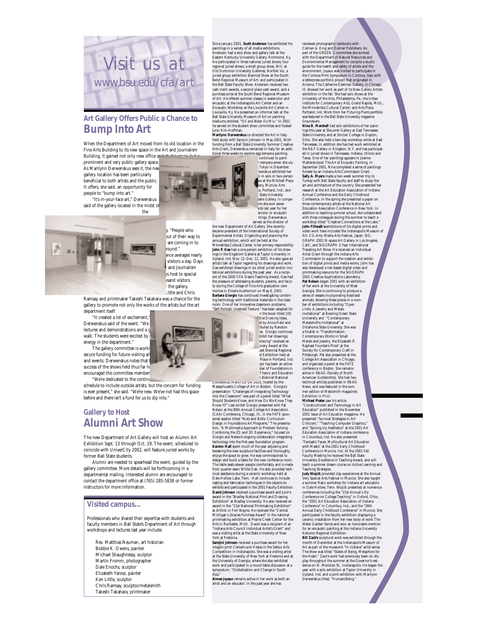

#### **Art Gallery Offers Public a Chance to Bump Into Art**

When the Department of Art moved from its old location in the Fine Arts Building to its new space in the Art and Journalism Building, it gained not only new office an

prominent and very public gallery space. As Marilynn Derwenskus sees it, the ne gallery location has been particularly beneficial to both artists and the public.

It offers, she said, an opportunity for people to "bump into art." "It's in-your-face art," Derwenskus

said of the gallery located in the midst of the



but of their way to are coming in to nund." ance averages nearly visitors a day. Days and Journalism  $\sqrt{s}$  host to special isand visitors the gallery. Little and Chris

dining facility. "People who

Ramsay and printmaker Takeshi Takahara was a chance for the gallery to promote not only the works of the artists but the art department itself.

"It created a lot of excitement," Derwenskus said of the event. "We lectures and demonstrations and a g walk. The students were excited by energy in the department."

The gallery committee is worki secure funding for future visiting ar and events. Derwenskus notes that success of the shows held thus far ha encouraged the committee members. "We're dedicated to the continu

schedule to include outside artists, but the concern for funding is ever present," she said. "We're new. We've not had this space before and there isn't a fund for us to dip into."

#### **Gallery to Host Alumni Art Show**

The new Department of Art Gallery will host an Alumni Art Exhibition Sept. 13 through Oct. 19. The event, scheduled to coincide with UniverCity 2002, will feature juried works by former Ball State students.

Alumni are needed to spearhead the event, guided by the gallery committee. More details will be forthcoming in a departmental mailing. Interested alumni are encouraged to contact the department office at (765) 285-5838 or former instructors for more information.

#### **Visited campus...**

Professionals who shared their expertise with students and faculty members in Ball State's Department of Art through workshops and lectures last year include:

Rev. Matthias Neuman, art historian Bobbie K. Owens, painter Michael Shaughnessy, sculptor Martin Fromm, photographer Dale Enochs, sculptor Elizabeth Yarosz, painter Ken Little, sculptor Chris Ramsay, sculptor/metalsmith Takeshi Takahara, printmaker

Since January 2001, **Scott Anderson** has exhibited his paintings in a variety of all media exhibitions. Anderson had a solo show and gallery talk at the<br>Eastern Kentucky University Gallery, Richmond, Ky.<br>He participated in three national juried shows: four<br>pregional juried shows: a small group show.  $W\hat{H}Z$ <br>at Od Dominion Bend Regional Museum of Art; and participated in the Ball State Faculty Show. Anderson received two cash merit awards, a second place cash award, and a purchase prize at the South Bend Regional Museum of Art. He offered summer classes in watercolor and encaustic at the Indianapolis Art Center and an Encaustic Workshop at the Louisville Art Center in Louisville, Ky. He presented an informal talk at the Ball State University Museum of Art on painting<br>mediums entitled, "*Oil and Water Dø Mix.*" In 2001<br>he served on the student show committee and hosted<br>juror Kim Hoffman.

field study with Sarojini Johnson in May 2001. With funding from a Ball State University Summer Creative Arts Grant, Derwenskus remained in Italy for an addi-

tional three weeks to explore egg tempera painting.<br>
continued to paint<br>
1 tempera when she vis-<br>
Tokyo in December.<br>
Wenskus exhibited her<br>
wenskus exhibited her k in solo or two-person<br>skows at the Mitchell Place **Elery, Muncie; Arts**<br>e, Portland, Ind.; and<br>**State University** Patre Gallery. In compe-<br>and she won seven titions she won seven awards last year for her ercolor or encaustic

paintings. Derwenskus served as the director of the new Department of Art Gallery. She recently<br>became president of the International Society of became president of the International Society of<br>Experimental Artists. Organizing and planning the<br>annual exhibition, which will be held at the<br>Minnetrista Cultural Center, is her primary responsibility.<br>**John P. Gee hel** Upland, Ind. Nov. 12–Dec. 12, 2001. He also gave an<br>artist's talk at Taylor regarding his drawings and work.<br>Gee exhibited drawings in six other juried and/or invitational exhibitions during the past year. As a recipi-<br>ent the pleasure of addressing students, parents, and facul-<br>ty during the College of Fine Arts graduation cerety during the College of Fine Arts graduation cere-monies in Emens Auditorium on May 6, 2001. **Barbara Giorgio** has continued investigating combining technology with traditional materials in the class-room. One of her innovative classroom problems, "Self-Portrait: Invented Texture," has been adapted for use in the book titled *100*

*tive Drawing Ideas,*<br>ed by Anna Held and ibuted by Random<br>se. Giorgio continues<br>chibit her drawings;<br>erlacing" received an **Iorary Award at the** vest Biennial Regional<br>d Exhibition held at: Place in Portland, Ind. gio has been an active gra me even an avere Theory and Education h Biennial National

Conterence, March 21-24, 2001, hosted by the Massachusetts College of Art in Boston. Giorgio's presentation "Challenges of Integrating Technology into the Classroom" was part of a panel titled "What Should Students Know, and How Do We Know They Know It?" Last winter Giorgio presented with Pat Nelson at the 89th Annual College Art Association (CAA) Conference, Chicago, Ill., in the FATE spon-sored session titled "Nuts and Bolts: Curriculum Design in Foundations Art Programs." The presentation, "A Multimedia Approach to Problem Solving:<br>Combining the 2D and 3D Experience," focused on<br>Giorgio and Nelson's ongoing collaboration integrating<br>technology into the first-year foundation program.<br>**Kenton Hall** spent tweaking the new sculpture facilities and thoroughly enjoys the space to grow. He was commissioned to design and build a table for the new conference room. The table seats eleven people comfortably and is made from quarter-sawn White Oak. He also provided technical assistance during a ceramic workshop held at Dale Hollow Lake, Tenn. Hall continues to include casting and fabrication techniques in the objects he exhibits and participated in the 2001 Faculty Exhibition. **David Johnson** received a purchase award and juror's<br>award in the "Bradley National Print and Drawing<br>Exhibition" at Bradley University. He also received an<br>award in the "21st National Printmaking Exhibition" at Artlink in Fort Wayne. He received the "Central Michigan Libraries Purchase Award" in the national printmaking exhibition at Prairie Creek Center for the Arts in Rochester, Mich. David was a recipient of an "Indiana Arts Council Individual Artist's Grant" and was a visiting artist at the State University of New

York at Fredonia. **Sarojini Johnson** received a purchase award for her intaglio print *Clematis and Hostas* in the Safeco Arts Competition in Indianapolis. She was a visiting artist at the State University of New York at Fredonia and at the University of Georgia, where she also exhibited work and participated in a round table discussion at a symposium: "Globalization and Change in South

Asia." **Aimee Joyaux** remains active in her work as both an artist and an educator. In the past year she has

reviewed photographic textbooks with Calman & King and Delmar Publishers. As part of the GREEN 2 committee she worked with the Department of Natural Resources and Environmental Management to compile a studio guide for the health and safety of artists and the environment. Joyaux was invited to participate in the Cortona Print Symposium in Cortona, Italy with a letterpress portfolio project that originated in Arizona. The Catherine Edelman Gallery, in Chicago, Ill. showed her work as part of its New Gallery Artists exhibition in the fall. She had solo shows at the University of the Arts, Philadelphia, Pa.; the Urban Institute for Contemporary Arts, Grand Rapids, Mich.; the Minnetrista Cultural Center; and Arts Place, Portland, Ind. Work from her *Picturing Plants* portfolio was featured in the Ball State University

*Groundwork.* **Nina B. Marshall** had solo exhibitions of her paintings this year at Slocumb Gallery at East Tennesse<br>State University and at Sinckiar College in Dayton,<br>Ohio. She also held a two-day workshop while at East<br>Tennessee. In addition she has held wrice schilded at<br>the R&F Gall **Sally A. Myers** made a two-week summer trip to Turkey with Ball State faculty and staff to study the art and architecture of the country. She presented her research at the Art Education Association of Indiana Annual Conference and the Early Childhood Conference. In the spring she presented a paper on three contemporary artists at the National Art Education Association Conference in New York. In addition to teaching summer school, she collaborated with three colleagues during the summer to teach a workshop titled "Creative Connections at the Lake." **John Fillwalk's**exhibitions of his digital prints and video work have included the Indianapolis Museum of Art; CG-Arts: Media Arts Festival, Japan; SIG-GRAPH 2001 N-space Art Gallery in Los Angeles, Calif.; and SIGGRAPH 2-Year International Traveling Art Show. He received an Individual Artist Grant through the Indiana Arts Commission to support the creation and exhibi-tion of digital prints and media works. John has also developed a net-based digital video and printmaking resource for the SIGGRAPH 2001 Creative Applications Laboratory. **Pat Nelson** began 2001 with an exhibition of her work at the University of West Georgia. She is continuing to produce a series of vessels incorporating fossilized animals, showing these pieces in a number of exhibitions including "Open Links: A Jewelry and Metals Invitational" at Bowling Green State University and "Contemporary Metalsmiths Invitational" at Oklahoma State University. She was a finalist in "Transfor Contemporary Works in Small Metals and Jewelry, the Elizabeth R. Raphael Founder's Prize" at the Society for Contemporary Craft in Pittsburgh. Pat also presented at the College Art Association in Chicago, and organized a panel at the FATE conference in Boston. She remains active in SNAG (Society of North American Goldsmiths). She had two technical articles published in SNAG News, and was featured in the summer edition of *Metalsmith* magazine's

*Exhibition in Print.* **Michael Prater** saw his article "Constructivism and Technology in Art<br>Education" published in the November<br>2001 issue of *Art Education* magazine. He<br>presented "Survival Strategies in Art<br>Criticism," "Teaching Computer Graphics,"<br>and "Spicing Up Aestheti Education Association of Indiana conference in Columbus, Ind. He also presented "Fantastic Faces: Multicultural Art Education with Masks" at the 2001 Early Childhood Conference in Muncie, Ind. At the 2001 Fall Faculty Meeting he received the Ball State University Excellence in Teaching Award, and will teach a summer dream course on Active Learning and

Teaching Strategies.<br>Teaching Strategies at the Annual Teaching Strategies Article Strategies and a summer Raku workshop for Indiana art educators<br>in Dale Hollow, Tenn. Wojcik presented at numerous<br>in Dale Hollow, Tenn. Wo Annual Early Childhood Conference" in Muncie. She participated in the faculty exhibition displaying a ceramic installation from her new body of work The Water Garden Series and won an honorable mention for an encaustic painting at the Indiana University

Kokomo Regional Exhibition.<br>
Rad Rad Scalifor Standin Work was exhibited through the month of December at the India<br>anglois Museum of December Art as part of the museums "In Indiana" artist series.<br>
The show was titled "St Upland, Ind. and a joint exhibition with Marilynn Derwenskus titled, "Human/Being."

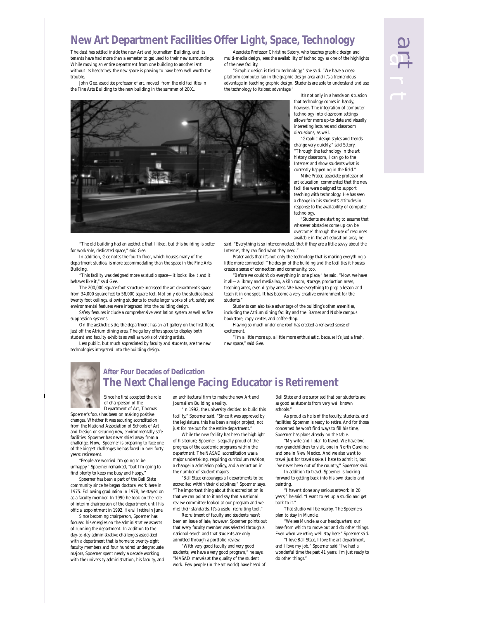### **New Art Department Facilities Offer Light, Space, Technology**

The dust has settled inside the new Art and Journalism Building, and its tenants have had more than a semester to get used to their new surroundings. While moving an entire department from one building to another isn't without its headaches, the new space is proving to have been well worth the trouble.

John Gee, associate professor of art, moved from the old facilities in the Fine Arts Building to the new building in the summer of 2001.

Associate Professor Christine Satory, who teaches graphic design and multi-media design, sees the availability of technology as one of the highlights of the new facility.

"Graphic design is tied to technology," she said. "We have a cross-platform computer lab in the graphic design area and it's a tremendous advantage in teaching graphic design. Students are able to understand and use the technology to its best advantage.

> It's not only in a hands-on situation that technology comes in handy, however. The integration of computer technology into classroom settings allows for more up-to-date and visually interesting lectures and classroom discussions, as well.

art<br>1

art

"Graphic design styles and trends change very quickly," said Satory. "Through the technology in the art history classroom, I can go to the Internet and show students what is currently happening in the field."

Mike Prater, associate professor of art education, commented that the new facilities were designed to support teaching with technology. He has seen a change in his students' attitudes in response to the availability of computer technology.

"Students are starting to assume that whatever obstacles come up can be overcome" through the use of resources

available in the art education area, he said. "Everything is so interconnected, that if they are a little savvy about the Internet, they can find what they need."

Prater adds that it's not only the technology that is making everything a little more connected. The design of the building and the facilities it houses create a sense of connection and community, too.

"Before we couldn't do everything in one place," he said. "Now, we have it all—a library and media lab, a kiln room, storage, production areas, teaching areas, even display areas. We have everything to prep a lesson and teach it in one spot. It has become a very creative environment for the students."

Students can also take advantage of the building's other amenities, including the Atrium dining facility and the Barnes and Noble campus bookstore, copy center, and coffee shop.

Having so much under one roof has created a renewed sense of excitement.

"I'm a little more up, a little more enthusiastic, because it's just a fresh, new space," said Gee.



In addition, Gee notes the fourth floor, which houses many of the department studios, is more accommodating than the space in the Fine Arts

Building. "This facility was designed more as studio space—it looks like it and it

behaves like it," said Gee. The 200,000-square-foot structure increased the art department's space

from 34,000 square feet to 58,000 square feet. Not only do the studios boast twenty foot ceilings, allowing students to create larger works of art, safety and environmental features were integrated into the building design.

Safety features include a comprehensive ventilation system as well as fire suppression systems.

On the aesthetic side, the department has an art gallery on the first floor, just off the Atrium dining area. The gallery offers space to display both student and faculty exhibits as well as works of visiting artists.

Less public, but much appreciated by faculty and students, are the new technologies integrated into the building design.



#### **After Four Decades of Dedication The Next Challenge Facing Educator is Retirement**

Since he first accepted the role of chairperson of the Department of Art, Thomas

Spoerner's focus has been on making positive changes. Whether it was securing accreditation from the National Association of Schools of Art and Design or securing new, environmentally safe facilities, Spoerner has never shied away from a challenge. Now, Spoerner is preparing to face one of the biggest challenges he has faced in over forty years: retirement.

"People are worried I'm going to be unhappy," Spoerner remarked, "but I'm going to find plenty to keep me busy and happy.

Spoerner has been a part of the Ball State community since he began doctoral work here in 1975. Following graduation in 1978, he stayed on as a faculty member. In 1990 he took on the role of interim chairperson of the department until his official appointment in 1992. He will retire in June.

Since becoming chairperson, Spoerner has focused his energies on the administrative aspects of running the department. In addition to the day-to-day administrative challenges associated with a department that is home to twenty-eight faculty members and four hundred undergraduate majors, Spoerner spent nearly a decade working with the university administration, his faculty, and an architectural firm to make the new Art and Journalism Building a reality.

"In 1992, the university decided to build this facility," Snoerner said. "Since it was approved by the legislature, this has been a major project, not just for me but for the entire department."

While the new facility has been the highlight of his tenure, Spoerner is equally proud of the progress of the academic programs within the department. The NASAD accreditation was a major undertaking, requiring curriculum revision, a change in admission policy, and a reduction in the number of student majors.

"Ball State encourages all departments to be accredited within their disciplines," Spoerner says. "The important thing about this accreditation is that we can point to it and say that a national review committee looked at our program and we met their standards. It's a useful recruiting tool."

Recruitment of faculty and students hasn't been an issue of late, however. Spoerner points out that every faculty member was selected through a national search and that students are only admitted through a portfolio review.

"With very good faculty and very good students, we have a very good program," he says. "NASAD marvels at the quality of the student work. Few people (in the art world) have heard of Ball State and are surprised that our students are as good as students from very well known schools."

As proud as he is of the faculty, students, and facilities, Spoerner is ready to retire. And for those concerned he won't find ways to fill his time, Spoerner has plans already on the table.

"My wife and I plan to travel. We have two new grandchildren to visit, one in North Carolina and one in New Mexico. And we also want to travel just for travel's sake. I hate to admit it, but I've never been out of the country," Spoerner said.

In addition to travel, Spoerner is looking forward to getting back into his own studio and painting.

"I haven't done any serious artwork in 20 years," he said. "I want to set up a studio and get back to it."

That studio will be nearby. The Spoerners plan to stay in Muncie.

"We see Muncie as our headquarters, our base from which to move out and do other things. Even when we retire, we'll stay here," Spoerner said.

"I love Ball State, I love the art department, and I love my job," Spoerner said "I've had a wonderful time the past 41 years. I'm just ready to do other things."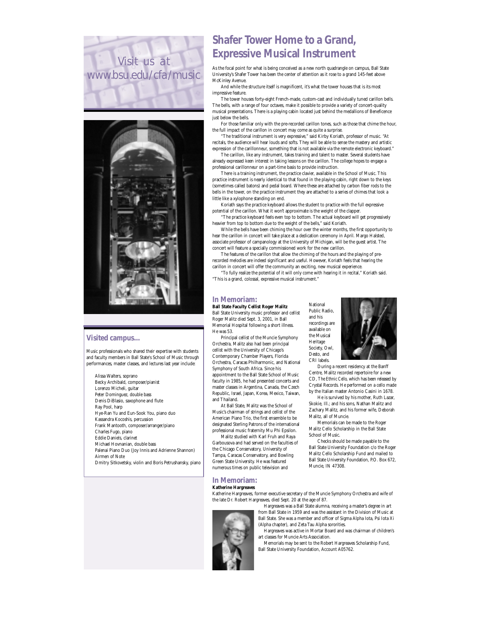



#### **Visited campus...**

Music professionals who shared their expertise with students and faculty members in Ball State's School of Music through performances, master classes, and lectures last year include:

Alissa Walters, soprano Becky Archibald, composer/pianist Lorenzo Micheli, guitar Peter Dominguez, double bass Denis DiBlasio, saxophone and flute Ray Pool, harp Hye-Ran Yu and Eun-Sook You, piano duo Kassandra Kocoshis, percussion Frank Mantooth, composer/arranger/piano Charles Fugo, piano Eddie Daniels, clarinet Michael Hovnanian, double bass Palenai Piano Duo (Joy Innis and Adrienne Shannon) Airmen of Note Dmitry Sitkovetsky, violin and Boris Petrushansky, piano

### **Shafer Tower Home to a Grand, Expressive Musical Instrument**

As the focal point for what is being conceived as a new north quadrangle on campus, Ball State University's Shafer Tower has been the center of attention as it rose to a grand 145-feet above McKinley Avenue.

And while the structure itself is magnificent, it's what the tower houses that is its most impressive feature.

The tower houses forty-eight French-made, custom-cast and individually tuned carillon bells. The bells, with a range of four octaves, make it possible to provide a variety of concert-quality musical presentations. There is a playing cabin located just behind the medallions of Beneficence just below the bells.

For those familiar only with the pre-recorded carillon tones, such as those that chime the hour, the full impact of the carillon in concert may come as quite a surprise.

"The traditional instrument is very expressive," said Kirby Koriath, professor of music. "At recitals, the audience will hear louds and softs. They will be able to sense the mastery and artistic expression of the carillonneur, something that is not available via the remote electronic keyboard."

The carillon, like any instrument, takes training and talent to master. Several students have already expressed keen interest in taking lessons on the carillon. The college hopes to engage a professional carillonneur on a part-time basis to provide instruction.

There is a training instrument, the practice clavier, available in the School of Music. This practice instrument is nearly identical to that found in the playing cabin, right down to the keys (sometimes called batons) and pedal board. Where these are attached by carbon fiber rods to the bells in the tower, on the practice instrument they are attached to a series of chimes that look a little like a xylophone standing on end.

Koriath says the practice keyboard allows the student to practice with the full expressive potential of the carillon. What it won't approximate is the weight of the clapper.

"The practice keyboard feels even top to bottom. The actual keyboard will get progressively heavier from top to bottom due to the weight of the bells," said Koriath.

While the bells have been chiming the hour over the winter months, the first opportunity to hear the carillon in concert will take place at a dedication ceremony in April. Margo Halsted, associate professor of campanology at the University of Michigan, will be the guest artist. The concert will feature a specially commissioned work for the new carillon.

The features of the carillon that allow the chiming of the hours and the playing of prerecorded melodies are indeed significant and useful. However, Koriath feels that hearing the carillon in concert will offer the community an exciting, new musical experience.

"To fully realize the potential of it will only come with hearing it in recital," Koriath said. "This is a grand, colossal, expressive musical instrument."

National

and his

**Heritage** 

#### **In Memoriam:**

**Ball State Faculty Cellist Roger Malitz**  Ball State University music professor and cellist Roger Malitz died Sept. 3, 2001, in Ball Memorial Hospital following a short illness. He was 53.

Principal cellist of the Muncie Symphony Orchestra, Malitz also had been principal cellist with the University of Chicago's Contemporary Chamber Players, Florida Orchestra, Caracas Philharmonic, and National Symphony of South Africa. Since his appointment to the Ball State School of Music faculty in 1985, he had presented concerts and master classes in Argentina, Canada, the Czech Republic, Israel, Japan, Korea, Mexico, Taiwan, and Thailand.

At Ball State, Malitz was the School of Music's chairman of strings and cellist of the American Piano Trio, the first ensemble to be designated Sterling Patrons of the international professional music fraternity Mu Phi Epsilon.

Malitz studied with Karl Fruh and Raya Garbousova and had served on the faculties of the Chicago Conservatory, University of Tampa, Caracas Conservatory, and Bowling Green State University. He was featured numerous times on public television and

**In Memoriam:**

#### **Katherine Hargreaves**

Katherine Hargreaves, former executive secretary of the Muncie Symphony Orchestra and wife of the late Dr. Robert Hargreaves, died Sept. 20 at the age of 87.

Hargreaves was a Ball State alumna, receiving a master's degree in art from Ball State in 1959 and was the assistant in the Division of Music at Ball State. She was a member and officer of Sigma Alpha Iota, Psi Iota Xi (Alpha chapter), and Zeta Tau Alpha sororities.

Hargreaves was active in Mortar Board and was chairman of children's art classes for Muncie Arts Association.

Memorials may be sent to the Robert Hargreaves Scholarship Fund, Ball State University Foundation, Account A05762.



During a recent residency at the Banff Centre, Malitz recorded repertoire for a new CD, *The Ethnic Cello,* which has been released by Crystal Records. He performed on a cello made by the Italian master Antonio Casini in 1678.

He is survived by his mother, Ruth Lazar, Skokie, Ill.; and his sons, Nathan Malitz and Zachary Malitz, and his former wife, Deborah Malitz, all of Muncie.

Memorials can be made to the Roger Malitz Cello Scholarship in the Ball State School of Music.

Checks should be made payable to the Ball State University Foundation c/o the Roger Malitz Cello Scholarship Fund and mailed to Ball State University Foundation, P.O. Box 672, Muncie, IN 47308.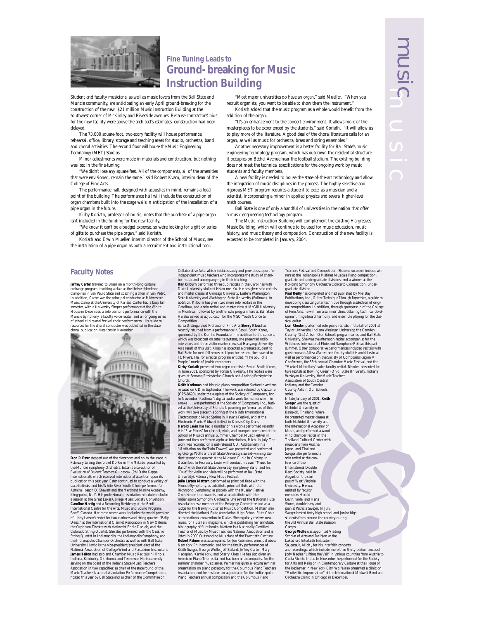

#### **Fine Tuning Leads to Ground-breaking for Music Instruction Building**

Student and faculty musicians, as well as music lovers from the Ball State and Muncie community, are anticipating an early April ground-breaking for the construction of the new \$21 million Music Instruction Building at the southwest corner of McKinley and Riverside avenues. Because contractors' bids for the new facility were above the architect's estimates, construction had been delayed.

The 73,000 square-foot, two-story facility will house performance, rehearsal, office, library, storage and teaching areas for studio, orchestra, band and choral activities. The second floor will house the Music Engineering Technology (MET) Studios.

Minor adjustments were made in materials and construction, but nothing was lost in the fine-tuning.

"We didn't lose any square feet. All of the components, all of the amenities that were envisioned, remain the same," said Robert Kvam, interim dean of the College of Fine Arts.

The performance hall, designed with acoustics in mind, remains a focal point of the building. The performance hall will include the construction of organ chambers built into the stage walls in anticipation of the installation of a pipe organ in the future.

Kirby Koriath, professor of music, notes that the purchase of a pipe organ isn't included in the funding for the new facility.

"We know it can't be a budget expense, so we're looking for a gift or series of gifts to purchase the pipe organ," said Koriath.

Koriath and Erwin Mueller, interim director of the School of Music, see the installation of a pipe organ as both a recruitment and instructional tool.

"Most major universities do have an organ," said Mueller. "When you recruit organists, you want to be able to show them the instrument."

Koriath added that the music program as a whole would benefit from the addition of the organ.

"It's an enhancement to the concert environment. It allows more of the masterpieces to be experienced by the students," said Koriath. "It will allow us to play more of the literature. A good deal of the choral literature calls for an organ, as well as music for orchestra, brass and string ensembles."

Another necessary improvement is a better facility for Ball State's music engineering technology program, which has outgrown the residential structure it occupies on Bethel Avenue near the football stadium. The existing building does not meet the technical specifications for the ongoing work by music students and faculty members.

A new facility is needed to house the state-of-the-art technology and allow the integration of music disciplines in the process. The highly selective and rigorous MET program requires a student to excel as a musician and a scientist, incorporating a minor in applied physics and several higher-level math courses.

Ball State is one of only a handful of universities in the nation that offer a music engineering technology program.

The Music Instruction Building will complement the existing Hargreaves Music Building, which will continue to be used for music education, music history, and music theory and composition. Construction of the new facility is expected to be completed in January, 2004.

#### **Faculty Notes**

**Jeffrey Carter** traveled to Brazil on a month-long cultural exchange program, teaching a class at the Universideade de Campinas in San Paulo State and coaching a choir in San Pedro. In addition, Carter was the principal conductor at Midwestern<br>Music Camp at the University of Kansas. Carter had a busy fall<br>semester, with a University Singers performance at the White<br>House in December, a solo baritone p of school clinics and festival choir performances. His guide to resolution that is a result of the choral conductor was published in the state of the choral conductor was published in the choral publication *Notations* in No



**Don P. Ester** stepped out of the classroom and on to the stage in February to sing the role of Ko-Ko in *The Mikado,* presented by

the Muncie Symphony Orchestra. Ester is a co-author of<br>*Evaluation of Student Teachers Guidebook* (Phi Delta Kappa<br>International), which received international attention upon its publication this past year. Ester continued to conduct a variety of state festivals, and his White River Youth Choir performed for Admiral Joseph D. Stewart and the Merchant Marine Academy.<br>Kingspoint, N. Y. His professional presentation schedule included<br>a session at the Great Lakes College Music Society Convention.<br>**Caroline Hartig** had a Recording International Centre for the Arts, Music and Sound Program, Banff, Canada. Her most recent work includes the world premiere<br>of Libby Larson's sextet for two clarinets and string quartet, "Bally<br>Deux," at the International Clarinet Association in New Orleans,<br>the Orpheum Theatre wit Colorado String Quartet. She also performed with the Quatrro String Quartet in Indianapolis, the Indianapolis Symphony, and the Indianapolis Chamber Orchestra as well as with Ball State University. Hartig is the vice-president/president elect of the National Association of College Wind and Percussion Instructors.<br>**James Helto**n had solo and Chamber Music Recitals in Illinois, Indiana, Kentucky, Oklahoma, Association in two capacities: as chair of the state round of the Music Teachers National Association Performance Competitions, hosted this year by Ball State and as chair of the Committee on

Collaborative Arts, which initiates tuday and provides support for<br>independent music teachers who incorporate the study of cham-<br>ber music and accompanying in their teaching. Will<br>burn performed three duo recitals in the

Sursa Distinguished Professor of Fine Arts **Sherry Kloss** has

recently returned from a performance in Seoul, South Korea, sponsored by the Kumho Foundation. In addition to the concert, which was broadcast on satellite systems, she presented radio interviews and three violin master classes at Hanyang University. As a result of this visit, Kloss has accepted a graduate student to Ball State for next fall semester. Upon her return, she traveled to

Ft. Myers, Fla. for a recital program entitled, "The Soul of a<br>People," music of levish composers.<br>**Kirby Koriath** presented two organ recitals in Seoul, South Korea,<br>in June 2001, sponsored by Yonsei University. The recit

Reith Kothman had his solo piano composition *Surface Inventions*<br>released on CD in September. The work was released by Capatone<br>released on CD in September. The work was released by Capatone<br>In November, Kothman's digital **Harold Levin** has had a number of his works performed recently.<br>His "Five Pieces" for clarinet, viola, and trumpet, premiered at the<br>School of Music's annual Summer Chamber Music Festival in<br>June and then performed again work was recorded on a just-released CD. Additionally, his "Meditation on the Twin Towers" was presented and performed by George Wolfe and Ball State University's award-winning stu-dent saxophone quartet at the Midwest Clinic in Chicago in December. In February, Levin will conduct his own "Music for<br>Band" with the Ball State University Symphony Band, and his<br>"Duo" for violin and viola will be performed at Ball State<br>University's February New Music Festival.<br> Muncie Symphony, as substitute principal flute with the Cochmond Symphony, as piccolo with the Russian Festival Orchestra in Indianapolis, and as a substitute with the Indianapolis Symphony Orchestra. She served the Natio listed in 2000 Outstanding Musicians of the Twentieth Century. **Robert Palmer** was accompanist for Joe Robinson, principal oboe, New York Philharmonic, and for the faculty performances of<br>Keith Sweger, George Wolfe, Jeff Ballard, Jeffrey Carter, Mary<br>Hagopian, Karrie York, and Sherry Kloss. He has also given an<br>American Piano Trio recital and has be summer chamber music series. Palmer has given a lecture/semi presentation on piano pedagogy for the Columbus Piano Teachers Association, and he has been an adjudicator for the Indianapolis Piano Teachers annual competition and the Columbus Piano

Teachers Festival and Competition. Student successes include win-<br>ners at the Indianapolis Matinee Musicale Piano competition,<br>graduate and undergraduate divisions; and a winner at the<br>Kokomo Symphony Orchestra Concerto Co

**Paul Reilly** has completed and had published by Mel Bay Publications, Inc.*, Guitar Technique Through Repertoire*, a guide to<br>developing classical guitar technique through a selection of origi-<br>nal compositions. In addition, through sponsorship of the College<br>of Fine Arts, he w opment, fingerboard harmony, and ensemble playing for the classical guitar.

**Lori Rhoden** performed solo piano recitals in the fall of 2001 at Taylor University, Indiana Wesleyan University, the Camden County (Ga.) Arts in Our Schools program series, and Ball State University. She was the afternoon recital accompanist for the Wildacres International Flute and Saxophone Retreat this past summer. Other collaborative performances included recitals with guest soprano Alissa Walters and faculty violist Harold Levin as well as performances on the Society of Composers Region V Conference, the 55th annual Chamber Music Festival, and the "Musical Miscellany" voice faculty recital. Rhoden presented lec-ture recitals at Bowling Green (Ohio) State University, Indiana Wesleyan University, the Music Teachers Association of South Central Indiana, and the Camden County Arts in Our Schools

series. In late January of 2001, **Keith Sweger** was the guest of Mahidol University in Bangkok, Thailand, where

he presented master classes at both Mahidol University and the International Academy of<br>Music, and performed a wood Music, and performed a wood-wind chamber recital in the Thailand Cultural Center with musicians from Austria, Japan, and Thailand. Sweger also performed a solo recital at the con-

ference of the<br>International Double International Double Reed Society, held in August on the cam-pus of West Virginia University. He was assisted by faculty<br>members Harold<br>Levin, viola, and Hans<br>Sturm, double bass, and<br>pianist Patricia Sweger. In July,<br>Sweger hosted forty high school and junior high<br>students from around the country during<br>Camps.<br>Camps.

**George Wolfe** was appointed Visiting Scholar of Arts and Religion at the Lakeshore Interfaith Institute in<br>Saugatauk, Mich., for his interfaith concerts Saugatauk, Mich., for his interlaint noncerts<br>and recordings, which include more than thirty performances of<br>Jody Nagle's "Lifting the Veil" in various countries from Austria to<br>Costa Rica to India. In November he performe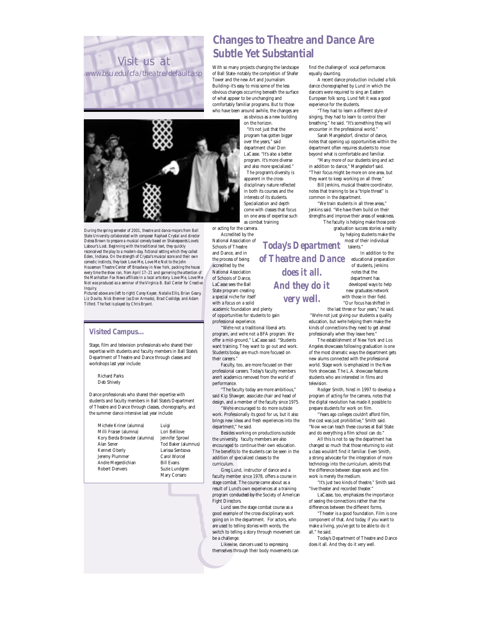



*During the spring semester of 2001, theatre and dance majors from Ball State University collaborated with composer Raphael Crystal and director Deloss Brown to prepare a musical comedy based on Shakespeare's* Love's Labour's Lost. *Beginning with the traditional text, they quickly reconceived the play to a modern-day, fictional setting which they called* Eden, Indiana. *On the strength of Crystal's musical score and their own comedic instincts, they took* Love Me, Love Me Not *to the John* Houseman Theatre Center off Broadway in New York, packing the house<br>every time the show ran, from April 17–21 and garnering the attention of<br>the Manhattan Fox News affiliate in a local arts story. Love Me, Love Me Not *was produced as a seminar of the Virginia B. Ball Center for Creative Inquiry.*

*Pictured above are (left to right) Carey Kayser, Natalie Ellis, Brian Geary, Liz Davito, Nick Brenner (as Don Armado), Brad Coolidge, and Adam Tilford. The foot is played by Chris Bryant.*

#### **Visited Campus...**

Stage, film and television professionals who shared their expertise with students and faculty members in Ball State's Department of Theatre and Dance through classes and workshops last year include:

Richard Parks Deb Shively

Dance professionals who shared their expertise with students and faculty members in Ball State's Department of Theatre and Dance through classes, choreography, and the summer dance intensive last year include:

Michele Kriner (alumna) Milli Fraiser (alumna) Kory Berda Browder (alumna) Alan Sener Kennet Oberly Jeremy Plummer Andre Megerdichian Robert Denvers Luigi Lori Belilove Jennifer Sprowl Tod Baker (alumnus) Larissa Sentsova Carol Worcel Bill Evans Suzie Lundgren Mary Corsaro

### **Changes to Theatre and Dance Are Subtle Yet Substantial**

With so many projects changing the landscape of Ball State–notably the completion of Shafer Tower and the new Art and Journalism Building–it's easy to miss some of the less obvious changes occurring beneath the surface of what appear to be unchanging and comfortably familiar programs. But to those who have been around awhile, the changes are

as obvious as a new building

on the horizon. "It's not just that the program has gotten bigger over the years," said department chair Don LaCasse. "It's also a better program. It's more diverse and also more specialized." The program's diversity is apparent in the crossdisciplinary nature reflected in both its courses and the interests of its students. Specialization and depth come with classes that focus on one area of expertise such as combat training

> *does it all. And they do it very well.*

or acting for the camera. Accredited by the

National Association of Schools of Theatre and Dance, and in the process of being accredited by the National Association of Schools of Dance, LaCasse sees the Ball State program creating a special niche for itself with a focus on a solid

academic foundation and plenty of opportunities for students to gain professional experience.

"We're not a traditional liberal arts program, and we're not a BFA program. We offer a mid-ground," LaCasse said. "Students want training. They want to go out and work. Students today are much more focused on their careers."

Faculty, too, are more focused on their professional careers. Today's faculty members aren't academics removed from the world of performance.

"The faculty today are more ambitious," said Kip Shawger, associate chair and head of design, and a member of the faculty since 1975.

"We're encouraged to do more outside work. Professionally its good for us, but it also brings new ideas and fresh experiences into the department," he said.

Besides working on productions outside the university, faculty members are also encouraged to continue their own education. The benefits to the students can be seen in the addition of specialized classes to the curriculum.

Greg Lund, instructor of dance and a faculty member since 1978, offers a course in stage combat. The course came about as a result of Lund's own experiences at a training program conducted by the Society of American Fight Directors.

Lund sees the stage combat course as a good example of the cross-disciplinary work going on in the department. For actors, who are used to telling stories with words, the switch to telling a story through movement can be a challenge.

Likewise, dancers used to expressing themselves through their body movements can find the challenge of vocal performances equally daunting.

A recent dance production included a folk dance choreographed by Lund in which the dancers were required to sing an Eastern European folk song. Lund felt it was a good experience for the students.

"They had to learn a different style of singing, they had to learn to control their breathing," he said. "It's something they will encounter in the professional world."

Sarah Mangelsdorf, director of dance, notes that opening up opportunities within the department often requires students to mov beyond what is comfortable and familiar.

"Many more of our students sing and act in addition to dance," Mangelsdorf said. "Their focus might be more on one area, but they want to keep working on all three.

Bill Jenkins, musical theatre coordinator, notes that training to be a "triple threat" is common in the department.

"We train students in all three areas," Jenkins said. "We have them build on their strengths and improve their areas of weakness. The faculty is helping make those postgraduation success stories a reality

by helping students make the Today's Department most of their individual

In addition to the of Theatre and Dance educational preparation of students, Jenkins notes that the department has developed ways to help new graduates network with those in their field. "Our focus has shifted in

the last three or four years," he said. "We're not just giving our students a quality education, but we're helping them make the kinds of connections they need to get ahead professionally when they leave here.

The establishment of New York and Los Angeles showcases following graduation is one of the most dramatic ways the department gets new alums connected with the professional world. Stage work is emphasized in the New York showcase. The L.A. showcase features students who are interested in films and television.

Rodger Smith, hired in 1997 to develop a program of acting for the camera, notes that the digital revolution has made it possible to prepare students for work on film.

"Years ago colleges couldn't afford film, the cost was just prohibitive," Smith said. "Now we can teach these courses at Ball State and do everything a film school can do."

All this is not to say the department has changed so much that those returning to visit a class wouldn't find it familiar. Even Smith, a strong advocate for the integration of more technology into the curriculum, admits that the difference between stage work and film work is merely the medium.

"It's just two kinds of theatre," Smith said. "live theater and recorded theater.

LaCasse, too, emphasizes the importance of seeing the connections rather than the

differences between the different forms. "Theater is a good foundation. Film is one component of that. And today, if you want to make a living, you've got to be able to do it

all," he said.

Today's Department of Theatre and Dance does it all. And they do it very well.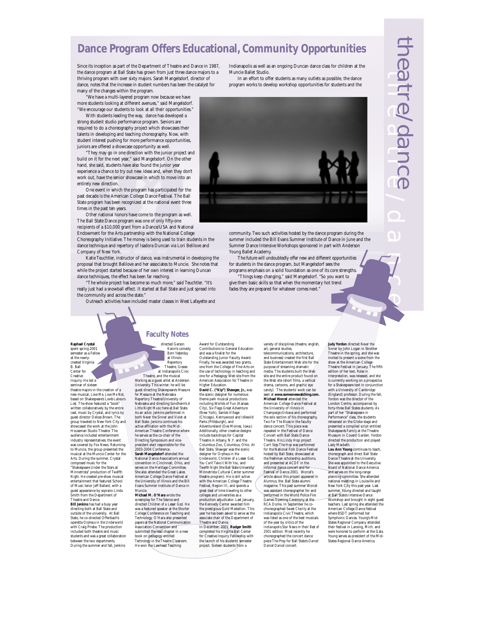### **Dance Program Offers Educational, Community Opportunities**

Since its inception as part of the Department of Theatre and Dance in 1987, the dance program at Ball State has grown from just three dance majors to a thriving program with over sixty majors. Sarah Mangelsdorf, director of dance, notes that the increase in student numbers has been the catalyst for many of the changes within the program.

"We have a multi-layered program now because we have more students looking at different avenues," said Mangelsdorf. "We encourage our students to look at all their opportunities."

With students leading the way, dance has developed a strong student studio performance program. Seniors are required to do a choreography project which showcases their talents in developing and teaching choreography. Now, with student interest pushing for more performance opportunities, juniors are offered a showcase opportunity as well.

"They may go in one direction with the junior project and build on it for the next year," said Mangelsdorf. On the other hand, she said, students have also found the junior year experience a chance to try out new ideas and, when they don't work out, have the senior showcase in which to move into an entirely new direction.

One event in which the program has participated for the past decade is the American College Dance Festival. The Ball State program has been recognized at the national event three times in the past ten years.

Other national honors have come to the program as well. The Ball State Dance program was one of only fifty-one

recipients of a \$10,000 grant from a Dance/USA and National Endowment for the Arts partnership with the National College Choreography Initiative. The money is being used to train students in the dance technique and repertory of Isadora Duncan via Lori Belilove and Company of New York.

Katie Teuchtler, instructor of dance, was instrumental in developing the proposal that brought Belilove and her associates to Muncie. She notes that while the project started because of her own interest in learning Duncan dance techniques, the effect has been far reaching.

"The whole project has become so much more," said Teuchtler. "It's really just had a snowball effect. It started at Ball State and just spread into the community and across the state."

Outreach activities have included master classes in West Lafayette and

Indianapolis as well as an ongoing Duncan dance class for children at the Muncie Ballet Studio.

In an effort to offer students as many outlets as possible, the dance program works to develop workshop opportunities for students and the



community. Two such activities hosted by the dance program during the summer included the Bill Evans Summer Institute of Dance in June and the Summer Dance Intensive Workshops sponsored in part with Anderson Young Ballet Academy.

The future will undoubtedly offer new and different opportunities for students in the dance program, but Mangelsdorf sees the programs emphasis on a solid foundation as one of its core strengths.

Things keep changing," said Mangelsdorf. "So you want to give them basic skills so that when the momentary hot trend fades they are prepared for whatever comes next."

**Raphael Crystal** spent spring 2001 emester as a Fellov at the newlyted Virginia B. Ball Center for Creative Inquiry. He led a<br>seminar of sixtees

seminar of sixteen theatre majors in the creation of a new musical, *Love Me, Love Me Not,* based on Shakespeare's *Love's Labours Lost.* The show featured a "book" written collaboratively by the entire cast, music by Crystal, and lyrics by guest director Deloss Brown. The group traveled to New York City and showcased the work at the John Houseman Studio Theatre. The audience included entertainment industry representatives; the event was covered by Fox News. Returning to Muncie, the group presented the musical at the Muncie Center for the Arts. During the summer, Crystal composed music for the "Shakespeare Under the Stars at Minnetrista" production of *Twelfth Night.* He created pre-show musical entertainment that featured School of Music tenor Jeff Ballard, with a guest appearance by soprano Linda Smith from the Department of

Theatre and Dance. **Bill Jenkins** has had a busy year directing both at Ball State and outside of the university. At Ball State, he co-directed Offenbach's operetta *Orpheus in the Underworld* with Craig Priebe. The production included both theatre and music students and was a great collaboration between the two departments. During the summer and fall, Jenkins

#### Kanin's comedy *Born Yesterday* at Illinois Repertory Theatre, *Grease* dianapolis Civi

**Faculty Notes**

directed Garson

Theatre, and the musical *Working* as a guest artist at Anderson University. This winter, he will be guest directing Shakespeare's *Measure for Measure* at the Nebraska Repertory Theatre/University of Nebraska and directing Sondheim's *A Little Night Music* here at Ball State. As an actor, Jenkins performed in both *Never the Sinner* and *Violet* at Ball State. Jenkins continues his active affiliation with the Mid-American Theatre Conference where he serves as the co-chair of the Directing Symposium and vicepresident elect responsible for the 2003-2004 Conference. **Sarah Mangelsdorf** attended the National Dance Association's annual convention in Cincinnati, Ohio, and serves on the Heritage Committee. She also attended the Great Lakes American College Dance Festival at the University of Illinois and the Bill

Evans Summer Institute of Dance in Muncie. **Michael M. O'Hara** wrote the screenplay for The *Séance* and directed *Children of a Lesser God*. He was a featured speaker at the Shorter Was a featured speaker at the Shorter<br>College Conference on Teaching and<br>Technology. O'Hara also presented

e Comerence on Teachi<br>plogy. O'Hara also prese papers at the National Communication Association Conventio<del>n and</del><br>submitted the lead chapter in a new book on pedagogy entitled *Technology in the Theatre Classroom.* He won the Lawhead Teaching

Award for Outstanding Contributions to General Education and was a finalist for the Outstanding Junior Faculty Award. Finally, he was awarded two grants, one from the College of Fine Arts on

the use of technology in teaching and one for a Pedagogy Web site from the American Association for Theatre in Higher Education. **David C. ("Kip") Shawger, Jr.,** was the scenic designer for numerously theme park musical productions including Worlds of Fun (Kansas City), Six Flags Great Adventure (New York), Santa's Village (Chicago), Kennywood and Idlewild Parks (Pittsburgh), and Adventureland (Des Moines, Iowa.) Additionally, other creative designs include backdrops for Capital Theatre in Albany, N.Y. and the

Columbus Zoo, Columbus, Ohio. At Ball State, Shawger was the scenic designer for *Orpheus in the Underworld, Children of a Lesser God, You Can't Take it With You,* and *Twelfth Night* (the Ball State University/ Minnetrista Cultural Center summer theatre program). He is still active with the American College Theatre Festival, Region III, and spends a great deal of time traveling to other colleges and universities as a production adjudicator. Last January,

the Kennedy Center awarded him the prestigious Gold Medallion. This year he has been asked to serve as the associate chair of the Department of Theatre and Dance.

In December, 2001, **Rodger Smith** completed his Virginia Ball Center for Creative Inquiry Fellowship with the launch of his students' semester project. Sixteen students from a

#### variety of disciplines (theatre, english, art, general studies, telecommunications, architecture,

and business) created the first Ball State Entertainment Web site for the purpose of streaming dramatic media. The students built the Web site and the entire product found on the Web site (short films, a vertical drama, cartoons, and graphic eye candy). The students' work can be seen at **www.someoneswatching.com. Michael Worcel** attended the American College Dance Festival at the University of Illinois in Champaign/Urbana and performed the solo section of his choreography, *Two For The Blues* in the faculty dance concert. This piece was repeated in the Festival of Dance Concert with Ball State Dance Theatre. His Lindy Hop project *Can't Stop The Hop* was performed for the National Folk Dance Festival the Fourth February 1981 the freshman scholarship auditions, and presented at ACDF in the informal dance concert and for Festival of Dance 2001. Worcel's article about this project appeared in *Alumnus,* the Ball State alumni magazine. This past summer Worcel<br>was assistant choreographer for and<br>performed in the World Police Fire<br>Cames Opening. Ceremony at the<br>RCA Dome. In September he co-<br>choreographed *Sweet Charity* at the<br>Indianapolis Civic of the year by critics of the<br>Indianapolis Star News in th *Indianapolis Star News* in their *Best of 2001* edition. Most recently he choreographed the concert dance piece The Prey for Ball State's *Dance! Dance! Dance!* concert.

**Judy Yordon** directed *Never the Sinner* by John Logan in Strother Theatre in the spring, and she was invited to present a scene from the show at the American College Theatre Festival in January. The fifth edition of her text, *Roles in Interpretation,* was released, and she is currently working on a prospectus for a Shakespeare text in conjunction with a University of Cambridge (England) professor. During the fall, Yordon was the director of the London Centre, accompanied by forty-three Ball States students. As part of her "Shakespeare in Performance" class, the students rehearsed on the Globe stage and presented a compiled script entitled *Shakespeare's Family* at the Theatre Museum in Covent Garden. Yordon directed the production and played Lady Macbeth.

**Lou Ann Young** continues to teach, choreograph and direct Ball State Dance Theatre at the University. She was appointed to the Executive Board of National Dance America and serves on the long-range planning committee. She attended national meetings in Louisville and<br>New York City this past year. Last<br>summer, Young directed and taught<br>at Ball State's Intensive Dance<br>Workshop and brought in eight guest teachers. Last spring she attended the American College Dance festival where BSDT performed her Symphonic Dances. Young's Mid-States Regional Company attended their festival in Lansing, Mich. and were honored to perform at the Gala. Young serves as president of the Mid-States Regional Dance America.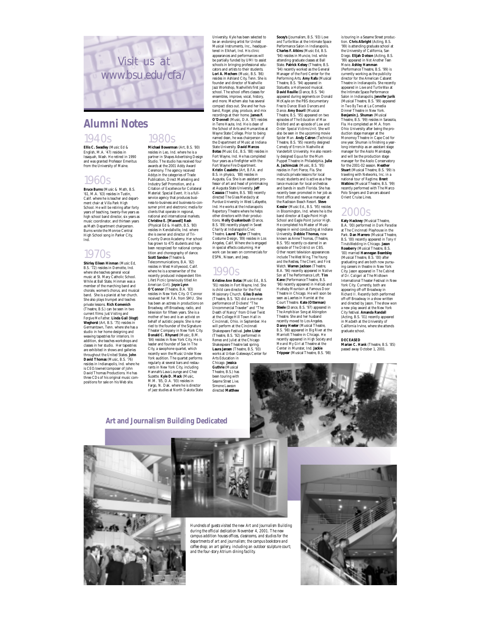

#### 1940s 1980s **Alumni Notes**

**Ellis C. Swadley** (Music Ed & English, M.A. '47) resides in Issaquah, Wash. He retired in 1990 and was granted Professor Emeritus from the University of Maine.

### 1960s

**Bruce Burns** (Music & Math, B.S. '61, M.A. '63) resides in Tustin, Calif. where he is teacher and department chair at Villa Park High School. He will be retiring after forty years of teaching, twenty-five years as high school band director, six years as music coordinator, and thirteen years<br>as Math Department chairperson. as Math Department chairperson. Burns wrote the Monroe Central High School song in Parker City, Ind.

### 1970s

**Shirley Eileen Hinman** (Music Ed, B.S. '72) resides in Demotte, Ind. where she teaches general vocal music at St. Mary Catholic School. While at Ball State, Hinman was a member of the marching band and chorale, women's chorus, and musical band. She is a pianist at her church. She also plays trumpet and teaches<br>private lessons. Rich Komenich private lessons. **Rich Komenich** (Theatre, B.S.) can be seen in two current films: *Just Visiting* and *Forgive Me Father.* **Linda Gail (Vogt) Weghorst** (Art, B.S. '75) resides in Germantown, Tenn. where she has a studio in her home designing and weaving tapestries for interiors. In addition, she teaches workshops and classes in her studio. Her tapestries are exhibited in shows and galleries throughout the United States. **John David Thomas** (Music, B.S. '76) resides in Indianapolis, Ind. where he is CEO/owner/composer of John David Thomas Productions. He has three CDs of his original music com-positions for sale on his Web site.

**Michael Bowerman** (Art, B.S. '80) resides in Leo, Ind. where he is a partner in Shapes Advertising Design Studio. The studio has received four awards at the 2001 Addy Award Ceremony. The agency received Addys in the categories of Trade Publication, Direct Marketing and Industry Self Promotion, and a Citation of Excellence for Collateral Material: Special Event. It is a fullservice agency that produces busi-ness-to-business and business-to-con-

> sumer print and electronic media for clients that operate in regional, national and international markets. **Christine E. [Maxwell] Rash** (Physical Ed & Health, B.S. '80) resides in Kendallville, Ind. where<br>she is owner and director of Trishe is owner and director of Tri-County Dance Academy. Her school has grown to 475 students and has been recognized for national competition and choreography of dance. **Scott Sandoe** (Theatre & Telecommunications, B.A. '82) resides in West Hollywood, Calif. where he is a screenwriter of the recently produced independent film *Lifers' Picnic* (previously titled *An American Girl*). **Joyce Lynn O'Connor** (Theatre, B.A. '83) resides in New York City. O'Connor received her M.F.A. from SMU. She has been an actress in productions on Broadway, off-Broadway, radio, and television for fifteen years. She is a mother of two and is an activist on behalf of autistic people. She is mar-<br>ried to the founder of the Signature<br>Theater Company in New York City.<br>**Donald C. Rhynard** (Music, B.M. '84) resides in New York City. He is leader and founder of Sax In The City, a saxophone quartet, which recently won the Music Under New York audition. The quartet performs regularly at several bars and restau-rants in New York City, including Hannah's Lava Lounge and Chez Suzette. **Kyle D. Mack** (Music, M.M. '85, D.A. '93) resides in

Fargo, N. Dak. where he is director of jazz studies at North Dakota State been touring with *Sesame Street Live.* Simone Lawson directed **Matthew**

University. Kyle has been selected to be an endorsing artist for United Musical Instruments, Inc., headquar-tered in Elkhart, Ind. His clinic appearances and performances will be partially funded by UMI to assist schools in bringing professional educators and artists to their students. **Lori A. Mechem** (Music, B.S. '86) resides in Ashland City, Tenn. She is founder and director of Nashville Jazz Workshop, Nashville's first jazz school. The school offers classes for ensembles, improve, vocal, history, and more. Mechem also has several compact discs out. She and her husband, Roger, play, produce, and mix recordings at their home. **James F. O'Donnell** (Music, D.A. '87) resides in Terre Haute, Ind. He is dean of the School of Arts and Humanities at Wayne State College. Prior to being named dean, he was chairperson of the Department of Music at Indiana State University. **David Marcos Botas** (Music Ed., B.S. '88) resides in Fort Wayne, Ind. He has con four years as a firefighter with the Fort Wayne Fire Department. **Kristin Casaletto** (Art, B.F.A. and B.S. in physics, '88) resides in Augusta, Ga. She is an assistant pro-fessor of art and head of printmaking at Augusta State University. **Jeff Casazza** (Theatre, B.S. '88) recently directed *The Glass Mendacity* at Purdue University in West Lafayette, Ind. He works at the Indianapolis Repertory Theatre where he helps other directors with their productions. **Holly Quakenbush** (Dance, B.S. '89) recently played in *Sweet Charity* at Indianapolis Civic Theatre. **Laurel Taylor** (Theatre, Costume Design, '89) resides in Los Angeles, Calif. Where she is engaged in special effects costuming. Her work can be seen on commercials for ESPN, Nissan, and Jeep.

#### 1990s

Chicago. **Jessica Guthrie** (Musical Theatre, B.S.) has

**Kristine Ann Botas** (Music Ed., B.S. '91) resides in Fort Wayne, Ind. She is child care director for the First Missionary Church. **Giles Davies** (Theatre, B.S. '92) did a one-man performance of Dickens' "The Uncommercial Traveler" and "The Death of Nancy" from Oliver Twist at the College Hill Town Hall in Cincinnati, Ohio. in September. He will perform at the Cincinnati Shakespeare Festival. **John Lister** (Theatre, B.S. '92) performed in *Romeo and Juliet* at the Chicago Romeo and Juner at the Chicago **Laura Jansen** (Theatre, B.S. '93) works at Urban Gateways Center for Arts Education in

attending graduate classes at Ball State. **Patrick Kelsey** (Theatre, B.S. '94) recently worked as the General Manager of the Ford Center for the Performing Arts. **Amy Rafa** (Musical Theatre, B.S. '94) appeared in *Statuette,* a Hollywood musical. **David Reuille** (Dance, B.S. '94) appeared during segments on Donald McKayle on the PBS documentary *Free to Dance: Black Dancers and Dance.* **Amy Bouril** (Musical Theatre, B.S. '95) appeared on two episodes of T*he Education of Max Bickford* and an episode of *Law and Order: Special Victims Unit.* She will also be seen in the upcoming movie *Spider Man.* **Andy Catron** (Technical Theatre, B.S. '95) recently designed *Comedy of Errors* in Nashville at Vanderbilt University. He also recently designed *Equus* for the Mum Puppet Theatre in Philadelphia. **Julie A. Jachimczak** (Music, B.S. '95) resides in Fort Pierce, Fla. She instructs private lessons for local music students and is active as a freelance musician for local orchestras and bands in south Florida. She has recently been promoted in her job as front office and revenue manager at the Radisson Beach Resort. **Steve Kessler** (Music Ed., B.S. '95) resides in Bloomington, Ind. where he is the band director at Eagle Point High School and Eagle Point Junior High. He completed his Master of Music degree in wind conducting at Indiana<br>University. Debbie Thomas, now **University.** Debbie Thom known as Anne Thomas, (Theatre,<br>B.S. '95) recently co-starred in an<br>episode of *The District* on CBS.<br>Other recent television appearances include *The West Wing, The Young and the Restless, The Client,* and *First Watch.* **Warren Jackson** (Theatre, B.A. '96) recently appeared in *Native Son* at The Performance Loft. **Tim Kane** (Performance Theatre, B.S. '96) recently appeared in *Hellcab* and *Hushaby Mountain* at Famous Door Theatre in Chicago. He will soon be seen as Laertes in *Hamlet* at the Court Theatre. **Kate (Otterman) Steele** (Dance, B.S. '97) appeared in *The Amphibian Song* at Abingdon Theatre. She and her husband recently moved to Los Angeles. **Danny Heeter** (Musical Theatre, B.S. '98) appeared in *Big River* at the Marriott Theatre in Chicago. He recently appeared in *High Society* and *Me and My Girl* at Theatre at the Center in Munster, Ind. **Jackie Trippear** (Musical Theatre, B.S. '98)

**Socey's** (Journalism, B.S. '93) *Love and Turtle Wax* at the Intimate Space Performance Salon in Indianapolis. **Charles F. Atkins** (Music Ed, B.S. '94) resides in Muncie, Ind. while

is touring in a Sesame Street produc-tion. **Chris Albright** (Acting, B.S. '99) is attending graduate school at<br>the University of California. San the University of California, San Diego. **Elijah Dotson** (Acting, B.S. '99) appeared in *Not Another Teen Movie.* **Ashley Hamman** (Performance Theatre, B.S. '99) is currently working as the publicity director for the American Cabaret Theatre in Indianapolis. She recently appeared in *Love and Turtle Wax* at<br>the Intimate Space Performance<br>Salon in Indianapolis. **Jennifer Jurik**<br>(Musical Theatre, B.S. '99) appeared in *Two By Two* at La Comedia Dinner Theatre in New York. **Benjamin J. Shuman** (Musical Theatre, B.S. '99) resides in Sarasota, Fla. He completed an M.A. from Ohio University after being the production stage manager at the Monomoy Theatre in Cape Cod for one year. Shuman is finishing a year-long internship as an assistant stage manager for the Asolo Mainstage,<br>manager for the Asolo Conservatory<br>manager for the Asolo Conservatory<br>for the 2001-02 season. **Heather**<br>**Stuart** (Musical Theatre, B.S. '99) is traveling with Networks, Inc. in a national tour of *Ragtime.* **Brent Watkins** (Musical Theatre, B.S. '99) recently performed with The Marco Polo Singers and Dancers aboard Orient Cruise Lines.

### 2000s

**Katy Hackney** (Musical Theatre, B.A. '00) performed in *Dark Paradise* at The Cincinnati Playhouse in the Park. **Dan Marrero** (Musical Theatre, B.S. '00) recently appeared in *Tony n' Tina's Wedding* in Chicago. **Jason Roseberry** (Musical Theatre, B.S. '00) married **Hannegan Beardsley** (Musical Theatre, B.S. '00) after graduating and are both now pursu-ing careers in theatre in New York City. Jason appeared in *The Cabinet of Dr. Caligari* at The Midtown International Theater Festival in New York City. Currently, both are appearing off-off Broadway in *Richard II*. Recently both performed off-off Broadway in a show written and directed by Jason. The show won a new play award at the New York

City festival. **Amanda Randall** (Acting, B.S. '01) recently appeared in *Macbeth* at the University of In *Macheth* at the University of<br>California Irvine, where she attends graduate school.

**DECEASED Marian C. Hank** (Theatre, B.S. '85) passed away October 1, 2001.





*Hundreds of guests visited the new Art and Journalism Building during the official dedication November 4, 2001. The new campus addition houses offices, classrooms, and studios for the departments of art and journalism; the campus bookstore and coffee shop; an art gallery, including an outdoor sculpture court; and the four-story Atrium dining facility.*



**Art and Journalism Building Dedicated**

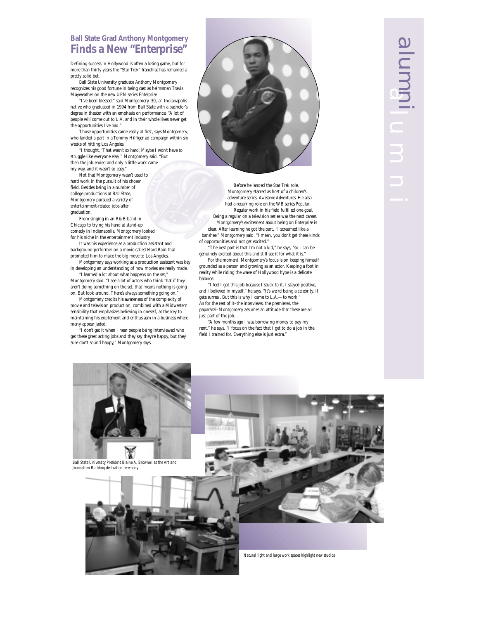#### **Ball State Grad Anthony Montgomery Finds a New "Enterprise"**

Defining success in Hollywood is often a losing game, but for more than thirty years the "Star Trek" franchise has remained a pretty solid bet.

Ball State University graduate Anthony Montgomery recognizes his good fortune in being cast as helmsman Travis Mayweather on the new UPN series *Enterprise.*

"I've been blessed," said Montgomery, 30, an Indianapolis native who graduated in 1994 from Ball State with a bachelor's degree in theater with an emphasis on performance. "A lot of people will come out to L.A. and in their whole lives never get the opportunities I've had."

Those opportunities came easily at first, says Montgomery, who landed a part in a Tommy Hilfiger ad campaign within six weeks of hitting Los Angeles.

"I thought, 'That wasn't so hard. Maybe I won't have to struggle like everyone else,'" Montgomery said. "But then the job ended and only a little work came my way, and it wasn't so easy."

Not that Montgomery wasn't used to hard work in the pursuit of his chosen field. Besides being in a number of college productions at Ball State, Montgomery pursued a variety of entertainment-related jobs after graduation.

From singing in an R&B band in Chicago to trying his hand at stand-up comedy in Indianapolis, Montgomery looked for his niche in the entertainment industry.

It was his experience as a production assistant and background performer on a movie called *Hard Rain* that prompted him to make the big move to Los Angeles.

Montgomery says working as a production assistant was key in developing an understanding of how movies are really made.

"I learned a lot about what happens on the set," Montgomery said. "I see a lot of actors who think that if they aren't doing something on the set, that means nothing is going on. But look around. There's always something going on."

Montgomery credits his awareness of the complexity of movie and television production, combined with a Midwestern sensibility that emphasizes believing in oneself, as the key to maintaining his excitement and enthusiasm in a business where many appear jaded.

I don't get it when I hear people being interviewed who get these great acting jobs and they say they're happy, but they sure don't sound happy," Montgomery says.



Before he landed the *Star Trek* role, Montgomery starred as host of a children's adventure series, *Awesome Adventures.* He also had a recurring role on the WB series *Popular.* Regular work in his field fulfilled one goal. Being a regular on a television series was the next career. Montgomery's excitement about being on *Enterprise* is clear. After learning he got the part, "I screamed like a banshee!" Montgomery said. "I mean, you don't get these kinds of opportunities and not get excited."

The best part is that I'm not a kid," he says, "so I can be genuinely excited about this and still see it for what it is."

For the moment, Montgomery's focus is on keeping himself grounded as a person and growing as an actor. Keeping a foot in reality while riding the wave of Hollywood hype is a delicate balance.

"I feel I got this job because I stuck to it, I stayed positive, and I believed in myself," he says. "It's weird being a celebrity. It gets surreal. But this is why I came to L.A.—to work." As for the rest of it–the interviews, the premieres, the paparazzi–Montgomery assumes an attitude that these are all just part of the job.

"A few months ago I was borrowing money to pay my rent," he says. "I focus on the fact that I get to do a job in the field I trained for. Everything else is just extra."





*Natural light and large work spaces highlight new studios.*